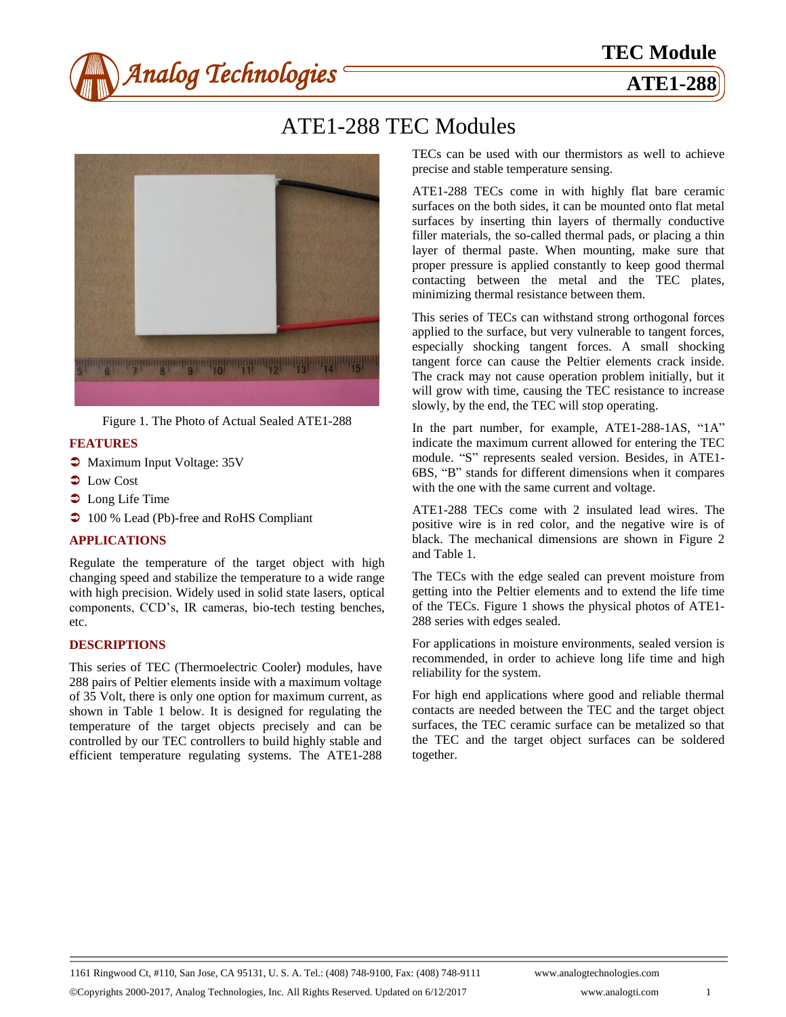

# ATE1-288 TEC Modules



Figure 1. The Photo of Actual Sealed ATE1-288

# **FEATURES**

- $\bullet$  Maximum Input Voltage: 35V
- $\bullet$  Low Cost
- $\bullet$  Long Life Time
- $\supset$  100 % Lead (Pb)-free and RoHS Compliant

# **APPLICATIONS**

Regulate the temperature of the target object with high changing speed and stabilize the temperature to a wide range with high precision. Widely used in solid state lasers, optical components, CCD's, IR cameras, bio-tech testing benches, etc.

### **DESCRIPTIONS**

This series of TEC (Thermoelectric Cooler) modules, have 288 pairs of Peltier elements inside with a maximum voltage of 35 Volt, there is only one option for maximum current, as shown in Table 1 below. It is designed for regulating the temperature of the target objects precisely and can be controlled by our TEC controllers to build highly stable and efficient temperature regulating systems. The ATE1-288

TECs can be used with our thermistors as well to achieve precise and stable temperature sensing.

ATE1-288 TECs come in with highly flat bare ceramic surfaces on the both sides, it can be mounted onto flat metal surfaces by inserting thin layers of thermally conductive filler materials, the so-called thermal pads, or placing a thin layer of thermal paste. When mounting, make sure that proper pressure is applied constantly to keep good thermal contacting between the metal and the TEC plates, minimizing thermal resistance between them.

This series of TECs can withstand strong orthogonal forces applied to the surface, but very vulnerable to tangent forces, especially shocking tangent forces. A small shocking tangent force can cause the Peltier elements crack inside. The crack may not cause operation problem initially, but it will grow with time, causing the TEC resistance to increase slowly, by the end, the TEC will stop operating.

In the part number, for example, ATE1-288-1AS, "1A" indicate the maximum current allowed for entering the TEC module. "S" represents sealed version. Besides, in ATE1- 6BS, "B" stands for different dimensions when it compares with the one with the same current and voltage.

ATE1-288 TECs come with 2 insulated lead wires. The positive wire is in red color, and the negative wire is of black. The mechanical dimensions are shown in Figure 2 and Table 1.

The TECs with the edge sealed can prevent moisture from getting into the Peltier elements and to extend the life time of the TECs. Figure 1 shows the physical photos of ATE1- 288 series with edges sealed.

For applications in moisture environments, sealed version is recommended, in order to achieve long life time and high reliability for the system.

For high end applications where good and reliable thermal contacts are needed between the TEC and the target object surfaces, the TEC ceramic surface can be metalized so that the TEC and the target object surfaces can be soldered together.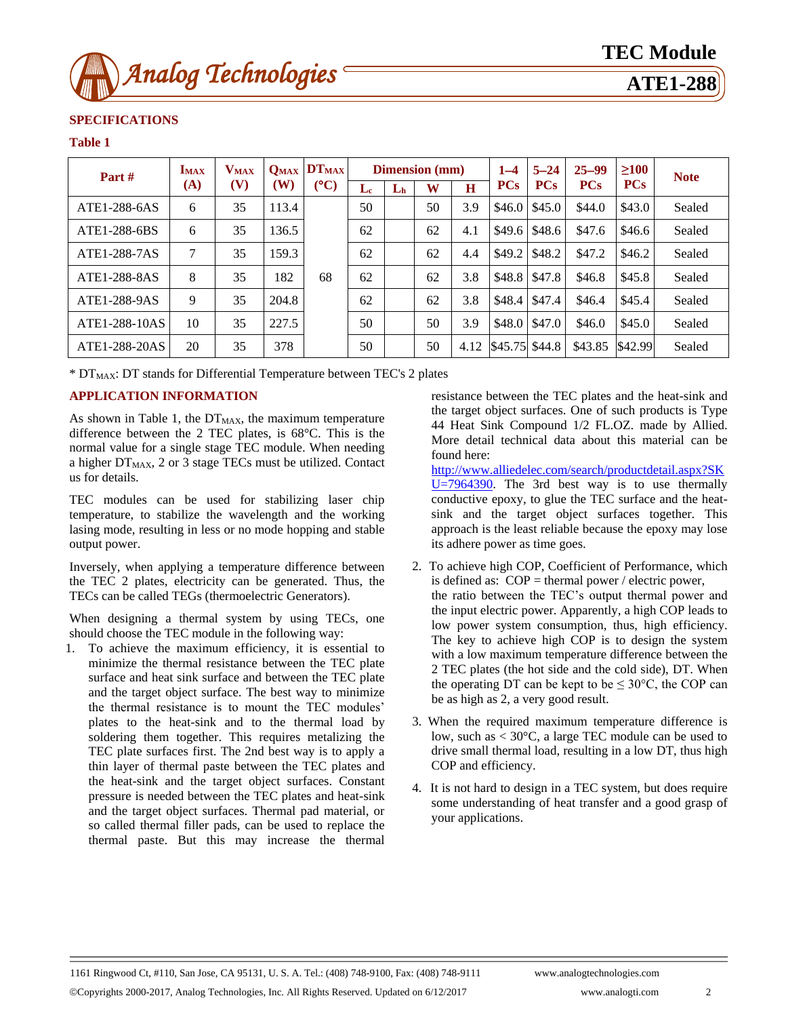

# **SPECIFICATIONS**

#### **Table 1**

| Part #        | <b>IMAX</b><br>(A) | $\mathbf{V_{MAX}}$<br>(V) | $Q_{MAX}$<br>(W) | $DT_{MAX}$<br>(C) | <b>Dimension</b> (mm) |    |    |      | $1 - 4$    | $5 - 24$   | $25 - 99$  | >100       | <b>Note</b> |
|---------------|--------------------|---------------------------|------------------|-------------------|-----------------------|----|----|------|------------|------------|------------|------------|-------------|
|               |                    |                           |                  |                   | Le                    | Lh | W  | H    | <b>PCs</b> | <b>PCs</b> | <b>PCs</b> | <b>PCs</b> |             |
| ATE1-288-6AS  | 6                  | 35                        | 113.4            |                   | 50                    |    | 50 | 3.9  | \$46.0     | \$45.0     | \$44.0     | \$43.0     | Sealed      |
| ATE1-288-6BS  | 6                  | 35                        | 136.5            |                   | 62                    |    | 62 | 4.1  | \$49.6     | \$48.6     | \$47.6     | \$46.6     | Sealed      |
| ATE1-288-7AS  | 7                  | 35                        | 159.3            |                   | 62                    |    | 62 | 4.4  | \$49.2\$   | \$48.2     | \$47.2     | \$46.2     | Sealed      |
| ATE1-288-8AS  | 8                  | 35                        | 182              | 68                | 62                    |    | 62 | 3.8  | \$48.8     | \$47.8     | \$46.8     | \$45.8     | Sealed      |
| ATE1-288-9AS  | 9                  | 35                        | 204.8            |                   | 62                    |    | 62 | 3.8  | \$48.4     | \$47.4     | \$46.4     | \$45.4     | Sealed      |
| ATE1-288-10AS | 10                 | 35                        | 227.5            |                   | 50                    |    | 50 | 3.9  | \$48.0     | \$47.0     | \$46.0     | \$45.0     | Sealed      |
| ATE1-288-20AS | 20                 | 35                        | 378              |                   | 50                    |    | 50 | 4.12 | \$45.75    | \$44.8     | \$43.85    | \$42.99    | Sealed      |

\* DTMAX: DT stands for Differential Temperature between TEC's 2 plates

# **APPLICATION INFORMATION**

As shown in Table 1, the  $DT_{MAX}$ , the maximum temperature difference between the 2 TEC plates, is  $68 \text{ C}$ . This is the normal value for a single stage TEC module. When needing a higher  $DT_{MAX}$ , 2 or 3 stage TECs must be utilized. Contact us for details.

TEC modules can be used for stabilizing laser chip temperature, to stabilize the wavelength and the working lasing mode, resulting in less or no mode hopping and stable output power.

Inversely, when applying a temperature difference between the TEC 2 plates, electricity can be generated. Thus, the TECs can be called TEGs (thermoelectric Generators).

When designing a thermal system by using TECs, one should choose the TEC module in the following way:

1. To achieve the maximum efficiency, it is essential to minimize the thermal resistance between the TEC plate surface and heat sink surface and between the TEC plate and the target object surface. The best way to minimize the thermal resistance is to mount the TEC modules' plates to the heat-sink and to the thermal load by soldering them together. This requires metalizing the TEC plate surfaces first. The 2nd best way is to apply a thin layer of thermal paste between the TEC plates and the heat-sink and the target object surfaces. Constant pressure is needed between the TEC plates and heat-sink and the target object surfaces. Thermal pad material, or so called thermal filler pads, can be used to replace the thermal paste. But this may increase the thermal

resistance between the TEC plates and the heat-sink and the target object surfaces. One of such products is Type 44 Heat Sink Compound 1/2 FL.OZ. made by Allied. More detail technical data about this material can be found here:

[http://www.alliedelec.com/search/productdetail.aspx?SK](http://www.alliedelec.com/search/productdetail.aspx?SKU=7964390) [U=7964390.](http://www.alliedelec.com/search/productdetail.aspx?SKU=7964390) The 3rd best way is to use thermally conductive epoxy, to glue the TEC surface and the heatsink and the target object surfaces together. This approach is the least reliable because the epoxy may lose its adhere power as time goes.

- 2. To achieve high COP, Coefficient of Performance, which is defined as:  $COP =$  thermal power / electric power, the ratio between the TEC's output thermal power and the input electric power. Apparently, a high COP leads to low power system consumption, thus, high efficiency. The key to achieve high COP is to design the system with a low maximum temperature difference between the 2 TEC plates (the hot side and the cold side), DT. When the operating DT can be kept to be  $\leq 30^{\circ}$ C, the COP can be as high as 2, a very good result.
- 3. When the required maximum temperature difference is low, such as  $<$  30 °C, a large TEC module can be used to drive small thermal load, resulting in a low DT, thus high COP and efficiency.
- 4. It is not hard to design in a TEC system, but does require some understanding of heat transfer and a good grasp of your applications.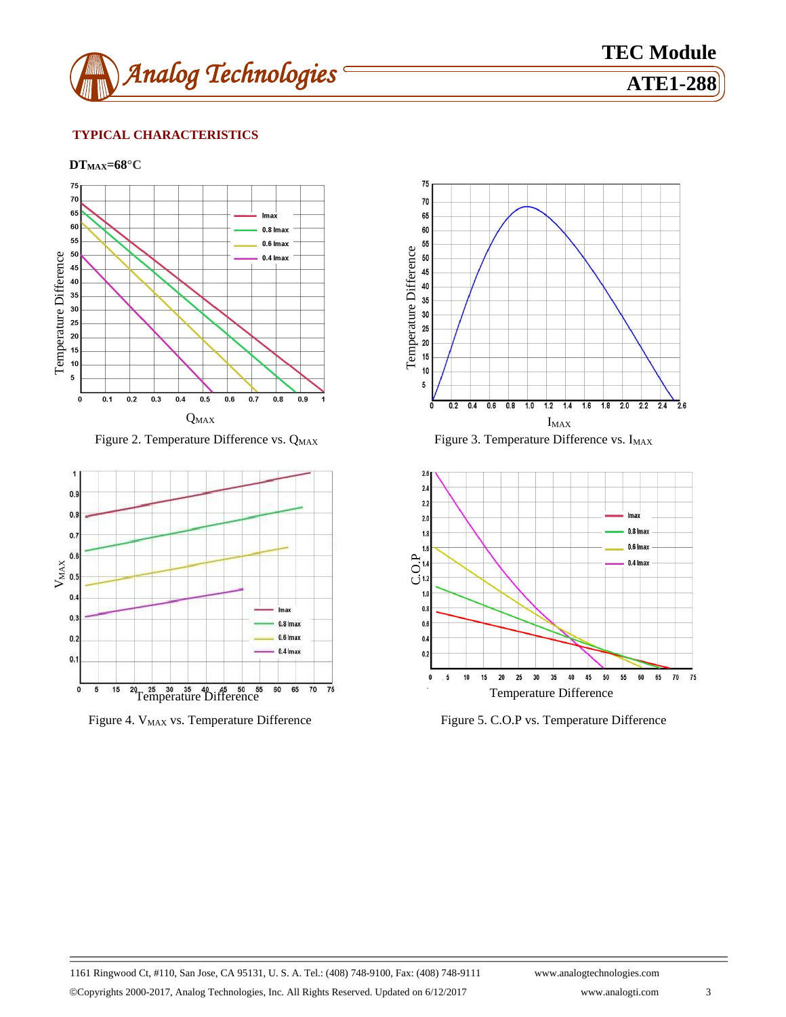

**TEC Module**

# **TYPICAL CHARACTERISTICS**